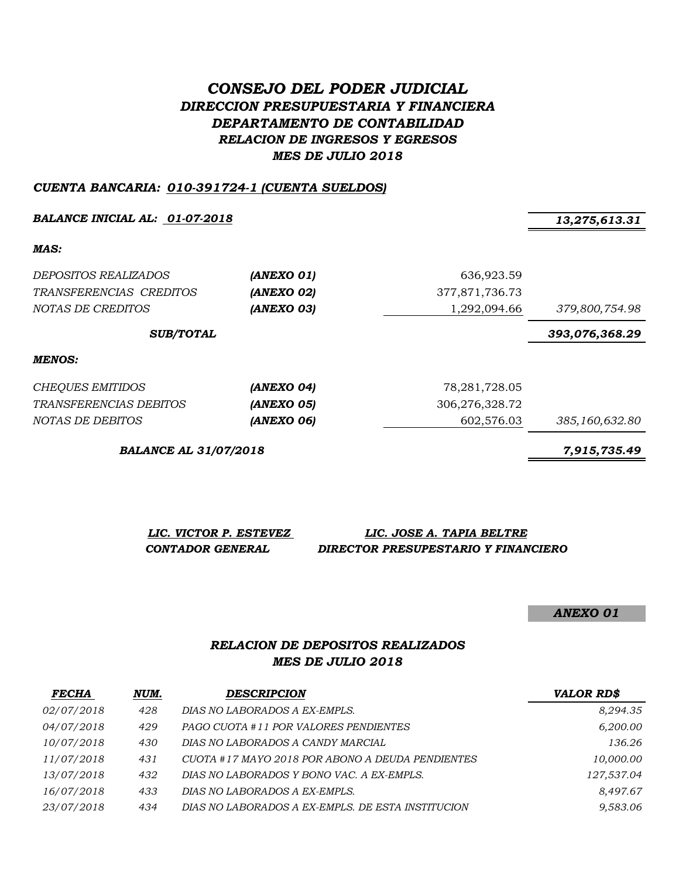## *CONSEJO DEL PODER JUDICIAL DIRECCION PRESUPUESTARIA Y FINANCIERA DEPARTAMENTO DE CONTABILIDAD RELACION DE INGRESOS Y EGRESOS MES DE JULIO 2018*

#### *CUENTA BANCARIA: 010-391724-1 (CUENTA SUELDOS)*

*BALANCE INICIAL AL: 01-07-2018 13,275,613.31*

*MAS:*

| <i>DEPOSITOS REALIZADOS</i><br>TRANSFERENCIAS CREDITOS<br>NOTAS DE CREDITOS | (ANEXO 01)<br>(ANEXO 02)<br>(ANEXO 03) | 636,923.59<br>377,871,736.73<br>1,292,094.66 | 379,800,754.98 |
|-----------------------------------------------------------------------------|----------------------------------------|----------------------------------------------|----------------|
| <b>SUB/TOTAL</b>                                                            |                                        |                                              | 393,076,368.29 |
| <b>MENOS:</b>                                                               |                                        |                                              |                |
| <b>CHEQUES EMITIDOS</b>                                                     | (ANEXO 04)                             | 78, 281, 728.05                              |                |
| TRANSFERENCIAS DEBITOS                                                      | (ANEXO 05)                             | 306,276,328.72                               |                |
| NOTAS DE DEBITOS                                                            | (ANEXO 06)                             | 602.576.03                                   | 385,160,632.80 |

*BALANCE AL 31/07/2018 7,915,735.49*

*LIC. VICTOR P. ESTEVEZ LIC. JOSE A. TAPIA BELTRE*

 *CONTADOR GENERAL DIRECTOR PRESUPESTARIO Y FINANCIERO*

*ANEXO 01*

## *RELACION DE DEPOSITOS REALIZADOS MES DE JULIO 2018*

| <b>FECHA</b>      | NUM. | <b>DESCRIPCION</b>                                | <b>VALOR RD\$</b> |
|-------------------|------|---------------------------------------------------|-------------------|
| <i>02/07/2018</i> | 428  | DIAS NO LABORADOS A EX-EMPLS.                     | 8,294.35          |
| <i>04/07/2018</i> | 429  | PAGO CUOTA #11 POR VALORES PENDIENTES             | 6,200.00          |
| 10/07/2018        | 430  | DIAS NO LABORADOS A CANDY MARCIAL                 | 136.26            |
| 11/07/2018        | 431  | CUOTA #17 MAYO 2018 POR ABONO A DEUDA PENDIENTES  | 10,000.00         |
| 13/07/2018        | 432  | DIAS NO LABORADOS Y BONO VAC. A EX-EMPLS.         | 127,537.04        |
| 16/07/2018        | 433  | DIAS NO LABORADOS A EX-EMPLS.                     | 8,497.67          |
| 23/07/2018        | 434  | DIAS NO LABORADOS A EX-EMPLS. DE ESTA INSTITUCION | 9,583.06          |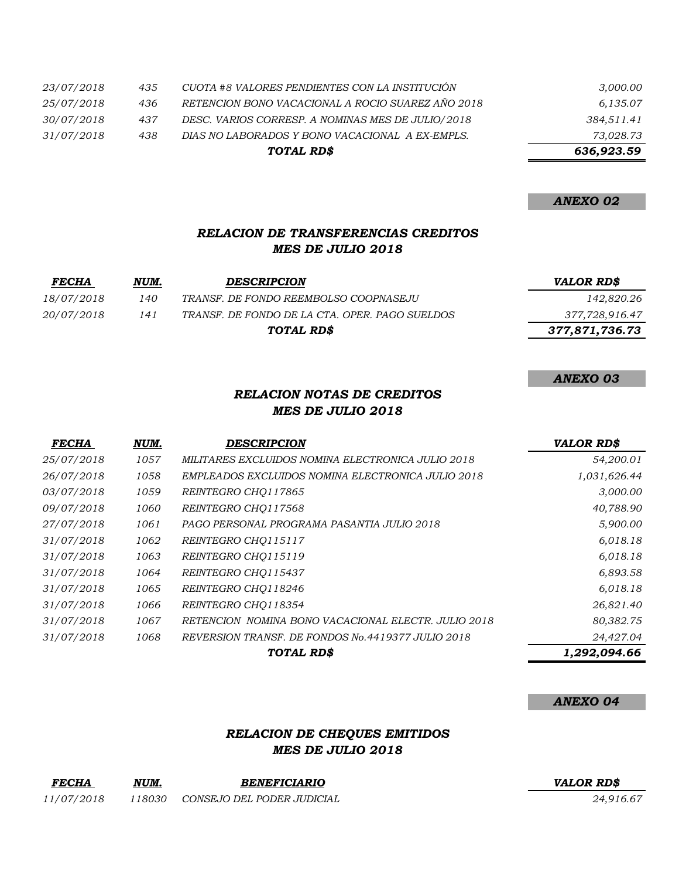|            |     | TOTAL RD\$                                        | 636,923.59 |
|------------|-----|---------------------------------------------------|------------|
| 31/07/2018 | 438 | DIAS NO LABORADOS Y BONO VACACIONAL A EX-EMPLS.   | 73,028.73  |
| 30/07/2018 | 437 | DESC. VARIOS CORRESP. A NOMINAS MES DE JULIO/2018 | 384,511.41 |
| 25/07/2018 | 436 | RETENCION BONO VACACIONAL A ROCIO SUAREZ AÑO 2018 | 6,135.07   |
| 23/07/2018 | 435 | CUOTA #8 VALORES PENDIENTES CON LA INSTITUCIÓN    | 3,000.00   |

## *ANEXO 02*

*ANEXO 03*

## *RELACION DE TRANSFERENCIAS CREDITOS MES DE JULIO 2018*

| <i>FECHA</i> | NUM. | <b>DESCRIPCION</b>                             | <b>VALOR RD\$</b> |
|--------------|------|------------------------------------------------|-------------------|
| 18/07/2018   | 140  | TRANSF. DE FONDO REEMBOLSO COOPNASEJU          | 142,820.26        |
| 20/07/2018   | 141  | TRANSF. DE FONDO DE LA CTA. OPER. PAGO SUELDOS | 377,728,916.47    |
|              |      | TOTAL RD\$                                     | 377,871,736.73    |

## *RELACION NOTAS DE CREDITOS MES DE JULIO 2018*

| <b>FECHA</b> | NUM. | <b>DESCRIPCION</b>                                  | <b>VALOR RD\$</b> |
|--------------|------|-----------------------------------------------------|-------------------|
| 25/07/2018   | 1057 | MILITARES EXCLUIDOS NOMINA ELECTRONICA JULIO 2018   | 54,200.01         |
| 26/07/2018   | 1058 | EMPLEADOS EXCLUIDOS NOMINA ELECTRONICA JULIO 2018   | 1,031,626.44      |
| 03/07/2018   | 1059 | REINTEGRO CHQ117865                                 | 3,000.00          |
| 09/07/2018   | 1060 | REINTEGRO CHO117568                                 | 40,788.90         |
| 27/07/2018   | 1061 | PAGO PERSONAL PROGRAMA PASANTIA JULIO 2018          | 5,900.00          |
| 31/07/2018   | 1062 | REINTEGRO CHO115117                                 | 6,018.18          |
| 31/07/2018   | 1063 | REINTEGRO CHQ115119                                 | 6,018.18          |
| 31/07/2018   | 1064 | REINTEGRO CHQ115437                                 | 6,893.58          |
| 31/07/2018   | 1065 | REINTEGRO CHO118246                                 | 6,018.18          |
| 31/07/2018   | 1066 | REINTEGRO CHO118354                                 | 26,821.40         |
| 31/07/2018   | 1067 | RETENCION NOMINA BONO VACACIONAL ELECTR. JULIO 2018 | 80,382.75         |
| 31/07/2018   | 1068 | REVERSION TRANSF. DE FONDOS No.4419377 JULIO 2018   | 24,427.04         |
|              |      | TOTAL RD\$                                          | 1,292,094.66      |

#### *ANEXO 04*

### *RELACION DE CHEQUES EMITIDOS MES DE JULIO 2018*

| <b>FECHA</b> | NUM.    | <b>BENEFICIARIO</b>        | <b>VALOR RDS</b> |
|--------------|---------|----------------------------|------------------|
| 11/07/2018   | 18030 ہ | CONSEJO DEL PODER JUDICIAL | 24.916.67        |

#### *FECHA NUM. BENEFICIARIO VALOR RD\$*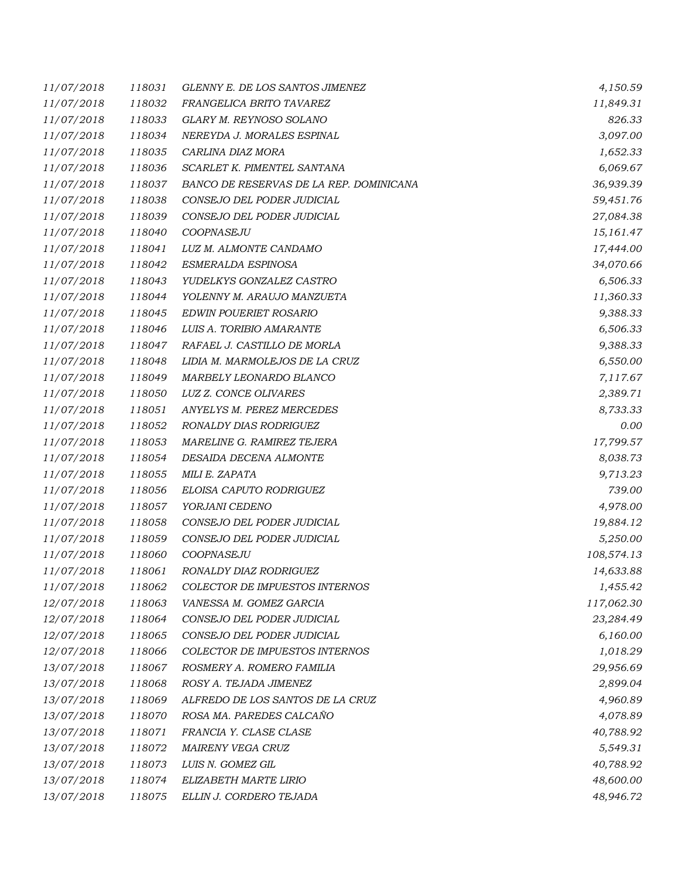| 11/07/2018 | 118031 | GLENNY E. DE LOS SANTOS JIMENEZ         | 4,150.59   |
|------------|--------|-----------------------------------------|------------|
| 11/07/2018 | 118032 | FRANGELICA BRITO TAVAREZ                | 11,849.31  |
| 11/07/2018 | 118033 | GLARY M. REYNOSO SOLANO                 | 826.33     |
| 11/07/2018 | 118034 | NEREYDA J. MORALES ESPINAL              | 3,097.00   |
| 11/07/2018 | 118035 | CARLINA DIAZ MORA                       | 1,652.33   |
| 11/07/2018 | 118036 | SCARLET K. PIMENTEL SANTANA             | 6,069.67   |
| 11/07/2018 | 118037 | BANCO DE RESERVAS DE LA REP. DOMINICANA | 36,939.39  |
| 11/07/2018 | 118038 | CONSEJO DEL PODER JUDICIAL              | 59,451.76  |
| 11/07/2018 | 118039 | CONSEJO DEL PODER JUDICIAL              | 27,084.38  |
| 11/07/2018 | 118040 | COOPNASEJU                              | 15,161.47  |
| 11/07/2018 | 118041 | LUZ M. ALMONTE CANDAMO                  | 17,444.00  |
| 11/07/2018 | 118042 | ESMERALDA ESPINOSA                      | 34,070.66  |
| 11/07/2018 | 118043 | YUDELKYS GONZALEZ CASTRO                | 6,506.33   |
| 11/07/2018 | 118044 | YOLENNY M. ARAUJO MANZUETA              | 11,360.33  |
| 11/07/2018 | 118045 | <b>EDWIN POUERIET ROSARIO</b>           | 9,388.33   |
| 11/07/2018 | 118046 | LUIS A. TORIBIO AMARANTE                | 6,506.33   |
| 11/07/2018 | 118047 | RAFAEL J. CASTILLO DE MORLA             | 9,388.33   |
| 11/07/2018 | 118048 | LIDIA M. MARMOLEJOS DE LA CRUZ          | 6,550.00   |
| 11/07/2018 | 118049 | MARBELY LEONARDO BLANCO                 | 7,117.67   |
| 11/07/2018 | 118050 | LUZ Z. CONCE OLIVARES                   | 2,389.71   |
| 11/07/2018 | 118051 | ANYELYS M. PEREZ MERCEDES               | 8,733.33   |
| 11/07/2018 | 118052 | RONALDY DIAS RODRIGUEZ                  | 0.00       |
| 11/07/2018 | 118053 | MARELINE G. RAMIREZ TEJERA              | 17,799.57  |
| 11/07/2018 | 118054 | DESAIDA DECENA ALMONTE                  | 8,038.73   |
| 11/07/2018 | 118055 | MILI E. ZAPATA                          | 9,713.23   |
| 11/07/2018 | 118056 | ELOISA CAPUTO RODRIGUEZ                 | 739.00     |
| 11/07/2018 | 118057 | YORJANI CEDENO                          | 4,978.00   |
| 11/07/2018 | 118058 | CONSEJO DEL PODER JUDICIAL              | 19,884.12  |
| 11/07/2018 | 118059 | CONSEJO DEL PODER JUDICIAL              | 5,250.00   |
| 11/07/2018 | 118060 | COOPNASEJU                              | 108,574.13 |
| 11/07/2018 | 118061 | RONALDY DIAZ RODRIGUEZ                  | 14,633.88  |
| 11/07/2018 | 118062 | <b>COLECTOR DE IMPUESTOS INTERNOS</b>   | 1,455.42   |
| 12/07/2018 | 118063 | VANESSA M. GOMEZ GARCIA                 | 117,062.30 |
| 12/07/2018 | 118064 | CONSEJO DEL PODER JUDICIAL              | 23,284.49  |
| 12/07/2018 | 118065 | CONSEJO DEL PODER JUDICIAL              | 6,160.00   |
| 12/07/2018 | 118066 | COLECTOR DE IMPUESTOS INTERNOS          | 1,018.29   |
| 13/07/2018 | 118067 | ROSMERY A. ROMERO FAMILIA               | 29,956.69  |
| 13/07/2018 | 118068 | ROSY A. TEJADA JIMENEZ                  | 2,899.04   |
| 13/07/2018 | 118069 | ALFREDO DE LOS SANTOS DE LA CRUZ        | 4,960.89   |
| 13/07/2018 | 118070 | ROSA MA. PAREDES CALCAÑO                | 4,078.89   |
| 13/07/2018 | 118071 | FRANCIA Y. CLASE CLASE                  | 40,788.92  |
| 13/07/2018 | 118072 | MAIRENY VEGA CRUZ                       | 5,549.31   |
| 13/07/2018 | 118073 | LUIS N. GOMEZ GIL                       | 40,788.92  |
| 13/07/2018 | 118074 | ELIZABETH MARTE LIRIO                   | 48,600.00  |
| 13/07/2018 | 118075 | ELLIN J. CORDERO TEJADA                 | 48,946.72  |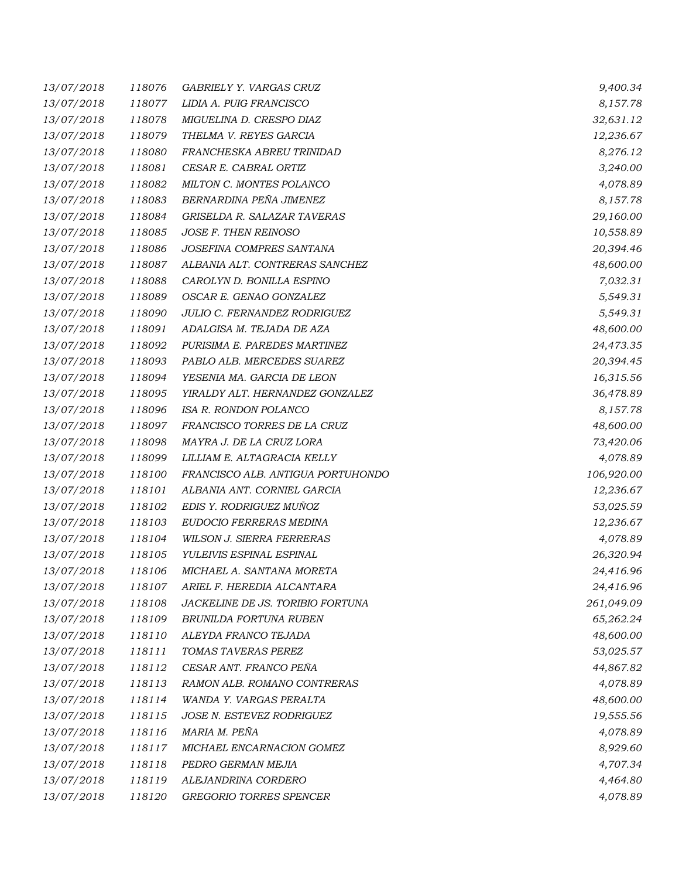| 13/07/2018 | 118076 | GABRIELY Y. VARGAS CRUZ           | 9,400.34   |
|------------|--------|-----------------------------------|------------|
| 13/07/2018 | 118077 | LIDIA A. PUIG FRANCISCO           | 8,157.78   |
| 13/07/2018 | 118078 | MIGUELINA D. CRESPO DIAZ          | 32,631.12  |
| 13/07/2018 | 118079 | THELMA V. REYES GARCIA            | 12,236.67  |
| 13/07/2018 | 118080 | FRANCHESKA ABREU TRINIDAD         | 8,276.12   |
| 13/07/2018 | 118081 | CESAR E. CABRAL ORTIZ             | 3,240.00   |
| 13/07/2018 | 118082 | MILTON C. MONTES POLANCO          | 4,078.89   |
| 13/07/2018 | 118083 | BERNARDINA PEÑA JIMENEZ           | 8,157.78   |
| 13/07/2018 | 118084 | GRISELDA R. SALAZAR TAVERAS       | 29,160.00  |
| 13/07/2018 | 118085 | JOSE F. THEN REINOSO              | 10,558.89  |
| 13/07/2018 | 118086 | JOSEFINA COMPRES SANTANA          | 20,394.46  |
| 13/07/2018 | 118087 | ALBANIA ALT. CONTRERAS SANCHEZ    | 48,600.00  |
| 13/07/2018 | 118088 | CAROLYN D. BONILLA ESPINO         | 7,032.31   |
| 13/07/2018 | 118089 | OSCAR E. GENAO GONZALEZ           | 5,549.31   |
| 13/07/2018 | 118090 | JULIO C. FERNANDEZ RODRIGUEZ      | 5,549.31   |
| 13/07/2018 | 118091 | ADALGISA M. TEJADA DE AZA         | 48,600.00  |
| 13/07/2018 | 118092 | PURISIMA E. PAREDES MARTINEZ      | 24,473.35  |
| 13/07/2018 | 118093 | PABLO ALB. MERCEDES SUAREZ        | 20,394.45  |
| 13/07/2018 | 118094 | YESENIA MA. GARCIA DE LEON        | 16,315.56  |
| 13/07/2018 | 118095 | YIRALDY ALT. HERNANDEZ GONZALEZ   | 36,478.89  |
| 13/07/2018 | 118096 | ISA R. RONDON POLANCO             | 8,157.78   |
| 13/07/2018 | 118097 | FRANCISCO TORRES DE LA CRUZ       | 48,600.00  |
| 13/07/2018 | 118098 | MAYRA J. DE LA CRUZ LORA          | 73,420.06  |
| 13/07/2018 | 118099 | LILLIAM E. ALTAGRACIA KELLY       | 4,078.89   |
| 13/07/2018 | 118100 | FRANCISCO ALB. ANTIGUA PORTUHONDO | 106,920.00 |
| 13/07/2018 | 118101 | ALBANIA ANT. CORNIEL GARCIA       | 12,236.67  |
| 13/07/2018 | 118102 | EDIS Y. RODRIGUEZ MUNOZ           | 53,025.59  |
| 13/07/2018 | 118103 | EUDOCIO FERRERAS MEDINA           | 12,236.67  |
| 13/07/2018 | 118104 | WILSON J. SIERRA FERRERAS         | 4,078.89   |
| 13/07/2018 | 118105 | YULEIVIS ESPINAL ESPINAL          | 26,320.94  |
| 13/07/2018 | 118106 | MICHAEL A. SANTANA MORETA         | 24,416.96  |
| 13/07/2018 | 118107 | ARIEL F. HEREDIA ALCANTARA        | 24,416.96  |
| 13/07/2018 | 118108 | JACKELINE DE JS. TORIBIO FORTUNA  | 261,049.09 |
| 13/07/2018 | 118109 | BRUNILDA FORTUNA RUBEN            | 65,262.24  |
| 13/07/2018 | 118110 | ALEYDA FRANCO TEJADA              | 48,600.00  |
| 13/07/2018 | 118111 | TOMAS TAVERAS PEREZ               | 53,025.57  |
| 13/07/2018 | 118112 | CESAR ANT. FRANCO PEÑA            | 44,867.82  |
| 13/07/2018 | 118113 | RAMON ALB. ROMANO CONTRERAS       | 4,078.89   |
| 13/07/2018 | 118114 | WANDA Y. VARGAS PERALTA           | 48,600.00  |
| 13/07/2018 | 118115 | JOSE N. ESTEVEZ RODRIGUEZ         | 19,555.56  |
| 13/07/2018 | 118116 | MARIA M. PEÑA                     | 4,078.89   |
| 13/07/2018 | 118117 | MICHAEL ENCARNACION GOMEZ         | 8,929.60   |
| 13/07/2018 | 118118 | PEDRO GERMAN MEJIA                | 4,707.34   |
| 13/07/2018 | 118119 | ALEJANDRINA CORDERO               | 4,464.80   |
| 13/07/2018 | 118120 | GREGORIO TORRES SPENCER           | 4,078.89   |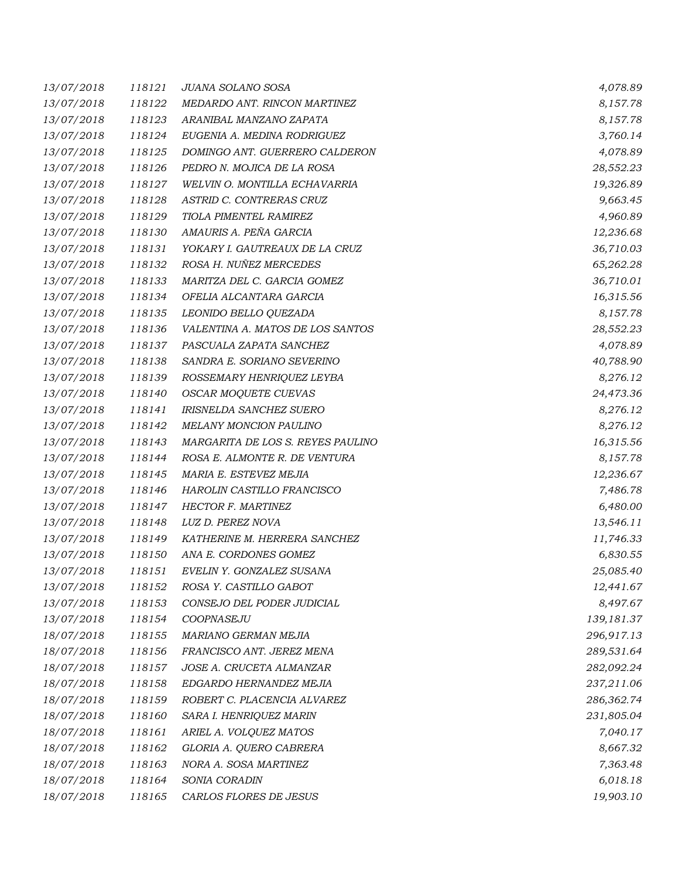| 13/07/2018 | 118121 | JUANA SOLANO SOSA                 | 4,078.89   |
|------------|--------|-----------------------------------|------------|
| 13/07/2018 | 118122 | MEDARDO ANT. RINCON MARTINEZ      | 8,157.78   |
| 13/07/2018 | 118123 | ARANIBAL MANZANO ZAPATA           | 8,157.78   |
| 13/07/2018 | 118124 | EUGENIA A. MEDINA RODRIGUEZ       | 3,760.14   |
| 13/07/2018 | 118125 | DOMINGO ANT. GUERRERO CALDERON    | 4,078.89   |
| 13/07/2018 | 118126 | PEDRO N. MOJICA DE LA ROSA        | 28,552.23  |
| 13/07/2018 | 118127 | WELVIN O. MONTILLA ECHAVARRIA     | 19,326.89  |
| 13/07/2018 | 118128 | ASTRID C. CONTRERAS CRUZ          | 9,663.45   |
| 13/07/2018 | 118129 | TIOLA PIMENTEL RAMIREZ            | 4,960.89   |
| 13/07/2018 | 118130 | AMAURIS A. PEÑA GARCIA            | 12,236.68  |
| 13/07/2018 | 118131 | YOKARY I. GAUTREAUX DE LA CRUZ    | 36,710.03  |
| 13/07/2018 | 118132 | ROSA H. NUÑEZ MERCEDES            | 65,262.28  |
| 13/07/2018 | 118133 | MARITZA DEL C. GARCIA GOMEZ       | 36,710.01  |
| 13/07/2018 | 118134 | OFELIA ALCANTARA GARCIA           | 16,315.56  |
| 13/07/2018 | 118135 | LEONIDO BELLO QUEZADA             | 8,157.78   |
| 13/07/2018 | 118136 | VALENTINA A. MATOS DE LOS SANTOS  | 28,552.23  |
| 13/07/2018 | 118137 | PASCUALA ZAPATA SANCHEZ           | 4,078.89   |
| 13/07/2018 | 118138 | SANDRA E. SORIANO SEVERINO        | 40,788.90  |
| 13/07/2018 | 118139 | ROSSEMARY HENRIQUEZ LEYBA         | 8,276.12   |
| 13/07/2018 | 118140 | OSCAR MOQUETE CUEVAS              | 24,473.36  |
| 13/07/2018 | 118141 | <b>IRISNELDA SANCHEZ SUERO</b>    | 8,276.12   |
| 13/07/2018 | 118142 | <b>MELANY MONCION PAULINO</b>     | 8,276.12   |
| 13/07/2018 | 118143 | MARGARITA DE LOS S. REYES PAULINO | 16,315.56  |
| 13/07/2018 | 118144 | ROSA E. ALMONTE R. DE VENTURA     | 8,157.78   |
| 13/07/2018 | 118145 | MARIA E. ESTEVEZ MEJIA            | 12,236.67  |
| 13/07/2018 | 118146 | HAROLIN CASTILLO FRANCISCO        | 7,486.78   |
| 13/07/2018 | 118147 | <b>HECTOR F. MARTINEZ</b>         | 6,480.00   |
| 13/07/2018 | 118148 | LUZ D. PEREZ NOVA                 | 13,546.11  |
| 13/07/2018 | 118149 | KATHERINE M. HERRERA SANCHEZ      | 11,746.33  |
| 13/07/2018 | 118150 | ANA E. CORDONES GOMEZ             | 6,830.55   |
| 13/07/2018 | 118151 | EVELIN Y. GONZALEZ SUSANA         | 25,085.40  |
| 13/07/2018 | 118152 | ROSA Y. CASTILLO GABOT            | 12,441.67  |
| 13/07/2018 | 118153 | CONSEJO DEL PODER JUDICIAL        | 8,497.67   |
| 13/07/2018 | 118154 | COOPNASEJU                        | 139,181.37 |
| 18/07/2018 | 118155 | MARIANO GERMAN MEJIA              | 296,917.13 |
| 18/07/2018 | 118156 | FRANCISCO ANT. JEREZ MENA         | 289,531.64 |
| 18/07/2018 | 118157 | JOSE A. CRUCETA ALMANZAR          | 282,092.24 |
| 18/07/2018 | 118158 | EDGARDO HERNANDEZ MEJIA           | 237,211.06 |
| 18/07/2018 | 118159 | ROBERT C. PLACENCIA ALVAREZ       | 286,362.74 |
| 18/07/2018 | 118160 | SARA I. HENRIQUEZ MARIN           | 231,805.04 |
| 18/07/2018 | 118161 | ARIEL A. VOLQUEZ MATOS            | 7,040.17   |
| 18/07/2018 | 118162 | GLORIA A. QUERO CABRERA           | 8,667.32   |
| 18/07/2018 | 118163 | NORA A. SOSA MARTINEZ             | 7,363.48   |
| 18/07/2018 | 118164 | SONIA CORADIN                     | 6,018.18   |
| 18/07/2018 | 118165 | CARLOS FLORES DE JESUS            | 19,903.10  |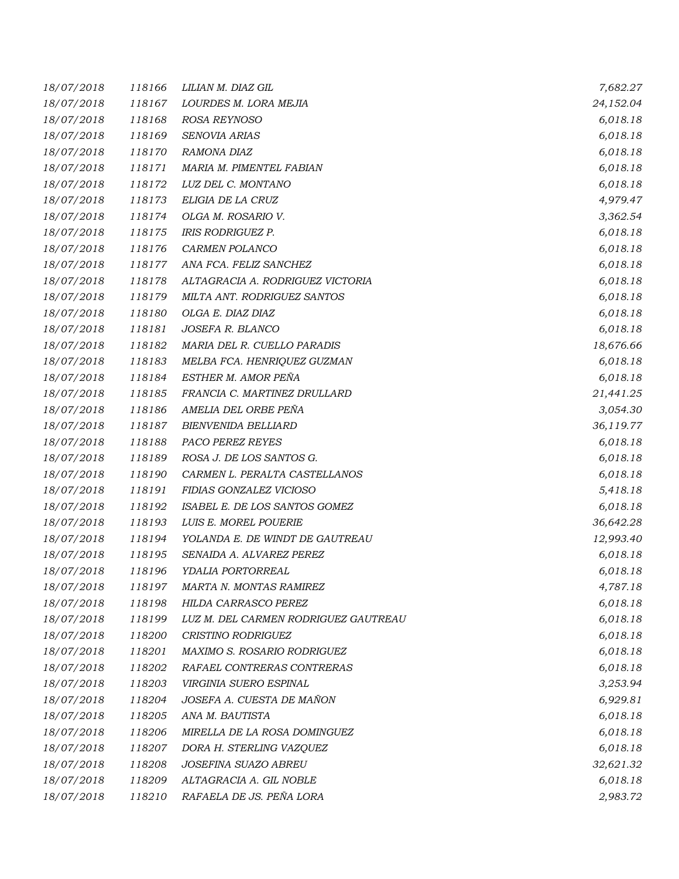| 18/07/2018 | 118166 | LILIAN M. DIAZ GIL                   | 7,682.27  |
|------------|--------|--------------------------------------|-----------|
| 18/07/2018 | 118167 | LOURDES M. LORA MEJIA                | 24,152.04 |
| 18/07/2018 | 118168 | ROSA REYNOSO                         | 6,018.18  |
| 18/07/2018 | 118169 | SENOVIA ARIAS                        | 6,018.18  |
| 18/07/2018 | 118170 | RAMONA DIAZ                          | 6,018.18  |
| 18/07/2018 | 118171 | MARIA M. PIMENTEL FABIAN             | 6,018.18  |
| 18/07/2018 | 118172 | LUZ DEL C. MONTANO                   | 6,018.18  |
| 18/07/2018 | 118173 | ELIGIA DE LA CRUZ                    | 4,979.47  |
| 18/07/2018 | 118174 | OLGA M. ROSARIO V.                   | 3,362.54  |
| 18/07/2018 | 118175 | IRIS RODRIGUEZ P.                    | 6,018.18  |
| 18/07/2018 | 118176 | CARMEN POLANCO                       | 6,018.18  |
| 18/07/2018 | 118177 | ANA FCA. FELIZ SANCHEZ               | 6,018.18  |
| 18/07/2018 | 118178 | ALTAGRACIA A. RODRIGUEZ VICTORIA     | 6,018.18  |
| 18/07/2018 | 118179 | MILTA ANT. RODRIGUEZ SANTOS          | 6,018.18  |
| 18/07/2018 | 118180 | OLGA E. DIAZ DIAZ                    | 6,018.18  |
| 18/07/2018 | 118181 | JOSEFA R. BLANCO                     | 6,018.18  |
| 18/07/2018 | 118182 | MARIA DEL R. CUELLO PARADIS          | 18,676.66 |
| 18/07/2018 | 118183 | MELBA FCA. HENRIQUEZ GUZMAN          | 6,018.18  |
| 18/07/2018 | 118184 | ESTHER M. AMOR PEÑA                  | 6,018.18  |
| 18/07/2018 | 118185 | FRANCIA C. MARTINEZ DRULLARD         | 21,441.25 |
| 18/07/2018 | 118186 | AMELIA DEL ORBE PEÑA                 | 3,054.30  |
| 18/07/2018 | 118187 | <b>BIENVENIDA BELLIARD</b>           | 36,119.77 |
| 18/07/2018 | 118188 | PACO PEREZ REYES                     | 6,018.18  |
| 18/07/2018 | 118189 | ROSA J. DE LOS SANTOS G.             | 6,018.18  |
| 18/07/2018 | 118190 | CARMEN L. PERALTA CASTELLANOS        | 6,018.18  |
| 18/07/2018 | 118191 | FIDIAS GONZALEZ VICIOSO              | 5,418.18  |
| 18/07/2018 | 118192 | ISABEL E. DE LOS SANTOS GOMEZ        | 6,018.18  |
| 18/07/2018 | 118193 | LUIS E. MOREL POUERIE                | 36,642.28 |
| 18/07/2018 | 118194 | YOLANDA E. DE WINDT DE GAUTREAU      | 12,993.40 |
| 18/07/2018 | 118195 | SENAIDA A. ALVAREZ PEREZ             | 6,018.18  |
| 18/07/2018 | 118196 | YDALIA PORTORREAL                    | 6,018.18  |
| 18/07/2018 | 118197 | MARTA N. MONTAS RAMIREZ              | 4,787.18  |
| 18/07/2018 | 118198 | HILDA CARRASCO PEREZ                 | 6,018.18  |
| 18/07/2018 | 118199 | LUZ M. DEL CARMEN RODRIGUEZ GAUTREAU | 6,018.18  |
| 18/07/2018 | 118200 | CRISTINO RODRIGUEZ                   | 6,018.18  |
| 18/07/2018 | 118201 | MAXIMO S. ROSARIO RODRIGUEZ          | 6,018.18  |
| 18/07/2018 | 118202 | RAFAEL CONTRERAS CONTRERAS           | 6,018.18  |
| 18/07/2018 | 118203 | VIRGINIA SUERO ESPINAL               | 3,253.94  |
| 18/07/2018 | 118204 | JOSEFA A. CUESTA DE MAÑON            | 6,929.81  |
| 18/07/2018 | 118205 | ANA M. BAUTISTA                      | 6,018.18  |
| 18/07/2018 | 118206 | MIRELLA DE LA ROSA DOMINGUEZ         | 6,018.18  |
| 18/07/2018 | 118207 | DORA H. STERLING VAZQUEZ             | 6,018.18  |
| 18/07/2018 | 118208 | JOSEFINA SUAZO ABREU                 | 32,621.32 |
| 18/07/2018 | 118209 | ALTAGRACIA A. GIL NOBLE              | 6,018.18  |
| 18/07/2018 | 118210 | RAFAELA DE JS. PEÑA LORA             | 2,983.72  |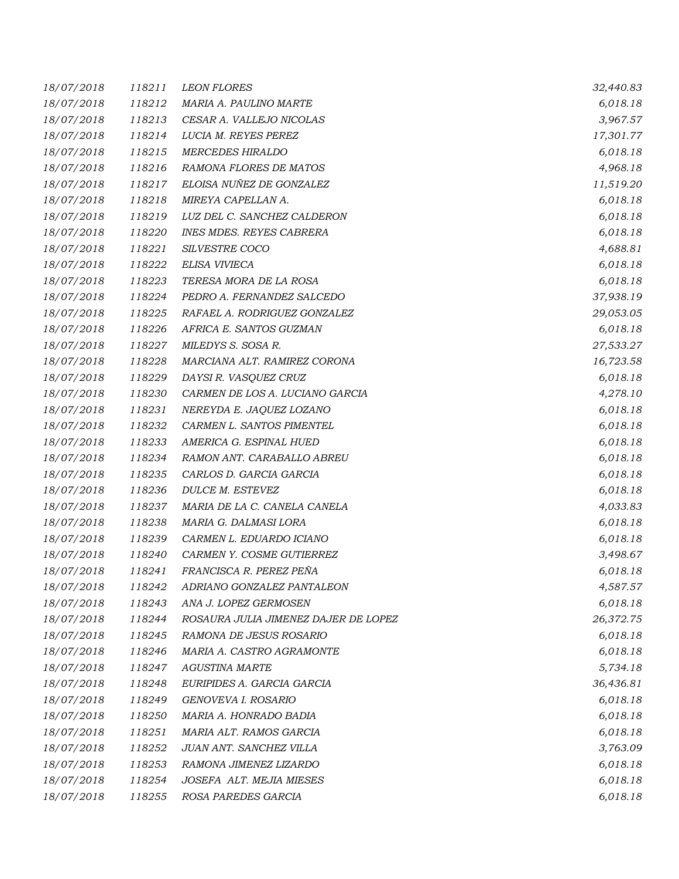| 18/07/2018 | 118211 | <b>LEON FLORES</b>                   | 32,440.83 |
|------------|--------|--------------------------------------|-----------|
| 18/07/2018 | 118212 | MARIA A. PAULINO MARTE               | 6,018.18  |
| 18/07/2018 | 118213 | CESAR A. VALLEJO NICOLAS             | 3,967.57  |
| 18/07/2018 | 118214 | LUCIA M. REYES PEREZ                 | 17,301.77 |
| 18/07/2018 | 118215 | <b>MERCEDES HIRALDO</b>              | 6,018.18  |
| 18/07/2018 | 118216 | RAMONA FLORES DE MATOS               | 4,968.18  |
| 18/07/2018 | 118217 | ELOISA NUÑEZ DE GONZALEZ             | 11,519.20 |
| 18/07/2018 | 118218 | MIREYA CAPELLAN A.                   | 6,018.18  |
| 18/07/2018 | 118219 | LUZ DEL C. SANCHEZ CALDERON          | 6,018.18  |
| 18/07/2018 | 118220 | <b>INES MDES. REYES CABRERA</b>      | 6,018.18  |
| 18/07/2018 | 118221 | SILVESTRE COCO                       | 4,688.81  |
| 18/07/2018 | 118222 | ELISA VIVIECA                        | 6,018.18  |
| 18/07/2018 | 118223 | TERESA MORA DE LA ROSA               | 6,018.18  |
| 18/07/2018 | 118224 | PEDRO A. FERNANDEZ SALCEDO           | 37,938.19 |
| 18/07/2018 | 118225 | RAFAEL A. RODRIGUEZ GONZALEZ         | 29,053.05 |
| 18/07/2018 | 118226 | AFRICA E. SANTOS GUZMAN              | 6,018.18  |
| 18/07/2018 | 118227 | MILEDYS S. SOSA R.                   | 27,533.27 |
| 18/07/2018 | 118228 | MARCIANA ALT. RAMIREZ CORONA         | 16,723.58 |
| 18/07/2018 | 118229 | DAYSI R. VASQUEZ CRUZ                | 6,018.18  |
| 18/07/2018 | 118230 | CARMEN DE LOS A. LUCIANO GARCIA      | 4,278.10  |
| 18/07/2018 | 118231 | NEREYDA E. JAQUEZ LOZANO             | 6,018.18  |
| 18/07/2018 | 118232 | CARMEN L. SANTOS PIMENTEL            | 6,018.18  |
| 18/07/2018 | 118233 | AMERICA G. ESPINAL HUED              | 6,018.18  |
| 18/07/2018 | 118234 | RAMON ANT. CARABALLO ABREU           | 6,018.18  |
| 18/07/2018 | 118235 | CARLOS D. GARCIA GARCIA              | 6,018.18  |
| 18/07/2018 | 118236 | DULCE M. ESTEVEZ                     | 6,018.18  |
| 18/07/2018 | 118237 | MARIA DE LA C. CANELA CANELA         | 4,033.83  |
| 18/07/2018 | 118238 | MARIA G. DALMASI LORA                | 6,018.18  |
| 18/07/2018 | 118239 | CARMEN L. EDUARDO ICIANO             | 6,018.18  |
| 18/07/2018 | 118240 | CARMEN Y. COSME GUTIERREZ            | 3,498.67  |
| 18/07/2018 | 118241 | FRANCISCA R. PEREZ PEÑA              | 6,018.18  |
| 18/07/2018 | 118242 | ADRIANO GONZALEZ PANTALEON           | 4,587.57  |
| 18/07/2018 | 118243 | ANA J. LOPEZ GERMOSEN                | 6,018.18  |
| 18/07/2018 | 118244 | ROSAURA JULIA JIMENEZ DAJER DE LOPEZ | 26,372.75 |
| 18/07/2018 | 118245 | RAMONA DE JESUS ROSARIO              | 6,018.18  |
| 18/07/2018 | 118246 | MARIA A. CASTRO AGRAMONTE            | 6,018.18  |
| 18/07/2018 | 118247 | <b>AGUSTINA MARTE</b>                | 5,734.18  |
| 18/07/2018 | 118248 | EURIPIDES A. GARCIA GARCIA           | 36,436.81 |
| 18/07/2018 | 118249 | GENOVEVA I. ROSARIO                  | 6,018.18  |
| 18/07/2018 | 118250 | MARIA A. HONRADO BADIA               | 6,018.18  |
| 18/07/2018 | 118251 | MARIA ALT. RAMOS GARCIA              | 6,018.18  |
| 18/07/2018 | 118252 | JUAN ANT. SANCHEZ VILLA              | 3,763.09  |
| 18/07/2018 | 118253 | RAMONA JIMENEZ LIZARDO               | 6,018.18  |
| 18/07/2018 | 118254 | JOSEFA ALT. MEJIA MIESES             | 6,018.18  |
| 18/07/2018 | 118255 | ROSA PAREDES GARCIA                  | 6,018.18  |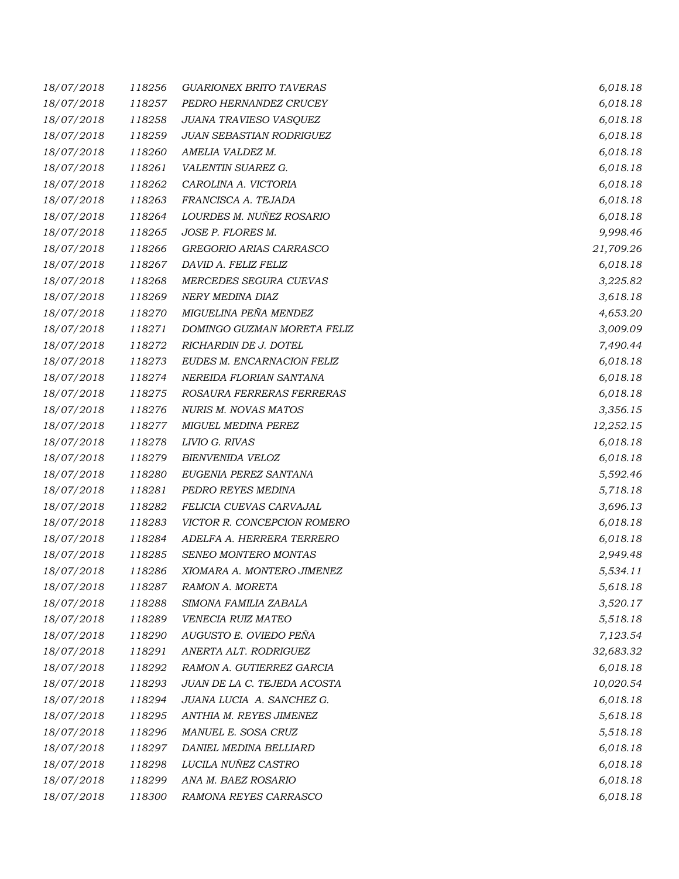| 18/07/2018 | 118256 | <b>GUARIONEX BRITO TAVERAS</b> | 6,018.18  |
|------------|--------|--------------------------------|-----------|
| 18/07/2018 | 118257 | PEDRO HERNANDEZ CRUCEY         | 6,018.18  |
| 18/07/2018 | 118258 | JUANA TRAVIESO VASQUEZ         | 6,018.18  |
| 18/07/2018 | 118259 | JUAN SEBASTIAN RODRIGUEZ       | 6,018.18  |
| 18/07/2018 | 118260 | AMELIA VALDEZ M.               | 6,018.18  |
| 18/07/2018 | 118261 | VALENTIN SUAREZ G.             | 6,018.18  |
| 18/07/2018 | 118262 | CAROLINA A. VICTORIA           | 6,018.18  |
| 18/07/2018 | 118263 | FRANCISCA A. TEJADA            | 6,018.18  |
| 18/07/2018 | 118264 | LOURDES M. NUÑEZ ROSARIO       | 6,018.18  |
| 18/07/2018 | 118265 | JOSE P. FLORES M.              | 9,998.46  |
| 18/07/2018 | 118266 | GREGORIO ARIAS CARRASCO        | 21,709.26 |
| 18/07/2018 | 118267 | DAVID A. FELIZ FELIZ           | 6,018.18  |
| 18/07/2018 | 118268 | MERCEDES SEGURA CUEVAS         | 3,225.82  |
| 18/07/2018 | 118269 | NERY MEDINA DIAZ               | 3,618.18  |
| 18/07/2018 | 118270 | MIGUELINA PEÑA MENDEZ          | 4,653.20  |
| 18/07/2018 | 118271 | DOMINGO GUZMAN MORETA FELIZ    | 3,009.09  |
| 18/07/2018 | 118272 | RICHARDIN DE J. DOTEL          | 7,490.44  |
| 18/07/2018 | 118273 | EUDES M. ENCARNACION FELIZ     | 6,018.18  |
| 18/07/2018 | 118274 | NEREIDA FLORIAN SANTANA        | 6,018.18  |
| 18/07/2018 | 118275 | ROSAURA FERRERAS FERRERAS      | 6,018.18  |
| 18/07/2018 | 118276 | <b>NURIS M. NOVAS MATOS</b>    | 3,356.15  |
| 18/07/2018 | 118277 | <b>MIGUEL MEDINA PEREZ</b>     | 12,252.15 |
| 18/07/2018 | 118278 | LIVIO G. RIVAS                 | 6,018.18  |
| 18/07/2018 | 118279 | <b>BIENVENIDA VELOZ</b>        | 6,018.18  |
| 18/07/2018 | 118280 | EUGENIA PEREZ SANTANA          | 5,592.46  |
| 18/07/2018 | 118281 | PEDRO REYES MEDINA             | 5,718.18  |
| 18/07/2018 | 118282 | FELICIA CUEVAS CARVAJAL        | 3,696.13  |
| 18/07/2018 | 118283 | VICTOR R. CONCEPCION ROMERO    | 6,018.18  |
| 18/07/2018 | 118284 | ADELFA A. HERRERA TERRERO      | 6,018.18  |
| 18/07/2018 | 118285 | SENEO MONTERO MONTAS           | 2,949.48  |
| 18/07/2018 | 118286 | XIOMARA A. MONTERO JIMENEZ     | 5,534.11  |
| 18/07/2018 | 118287 | RAMON A. MORETA                | 5,618.18  |
| 18/07/2018 | 118288 | SIMONA FAMILIA ZABALA          | 3,520.17  |
| 18/07/2018 | 118289 | VENECIA RUIZ MATEO             | 5,518.18  |
| 18/07/2018 | 118290 | AUGUSTO E. OVIEDO PEÑA         | 7,123.54  |
| 18/07/2018 | 118291 | ANERTA ALT. RODRIGUEZ          | 32,683.32 |
| 18/07/2018 | 118292 | RAMON A. GUTIERREZ GARCIA      | 6,018.18  |
| 18/07/2018 | 118293 | JUAN DE LA C. TEJEDA ACOSTA    | 10,020.54 |
| 18/07/2018 | 118294 | JUANA LUCIA A. SANCHEZ G.      | 6,018.18  |
| 18/07/2018 | 118295 | ANTHIA M. REYES JIMENEZ        | 5,618.18  |
| 18/07/2018 | 118296 | MANUEL E. SOSA CRUZ            | 5,518.18  |
| 18/07/2018 | 118297 | DANIEL MEDINA BELLIARD         | 6,018.18  |
| 18/07/2018 | 118298 | LUCILA NUÑEZ CASTRO            | 6,018.18  |
| 18/07/2018 | 118299 | ANA M. BAEZ ROSARIO            | 6,018.18  |
| 18/07/2018 | 118300 | RAMONA REYES CARRASCO          | 6,018.18  |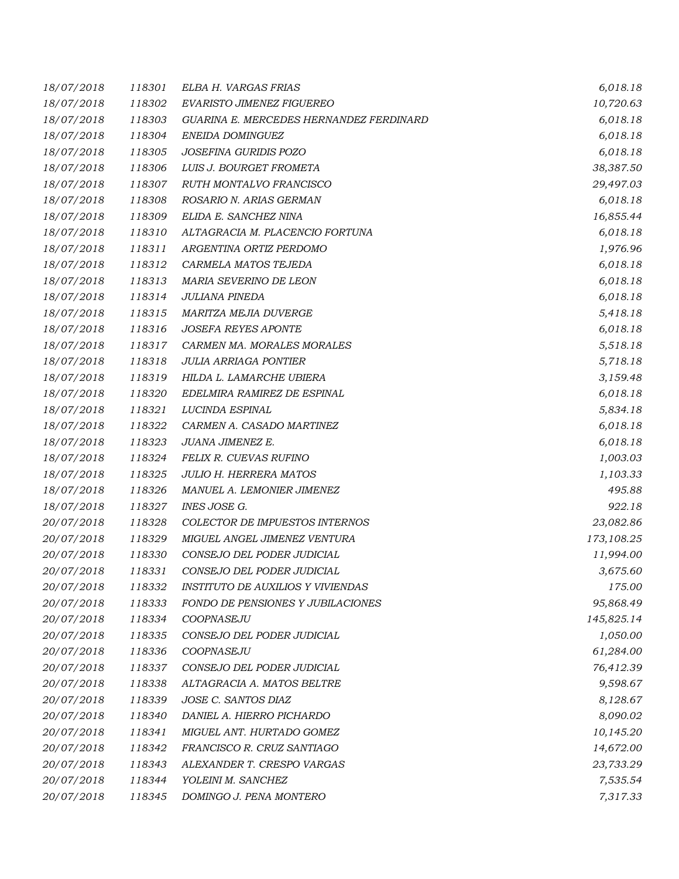| 18/07/2018 | 118301 | ELBA H. VARGAS FRIAS                     | 6,018.18   |
|------------|--------|------------------------------------------|------------|
| 18/07/2018 | 118302 | EVARISTO JIMENEZ FIGUEREO                | 10,720.63  |
| 18/07/2018 | 118303 | GUARINA E. MERCEDES HERNANDEZ FERDINARD  | 6,018.18   |
| 18/07/2018 | 118304 | ENEIDA DOMINGUEZ                         | 6,018.18   |
| 18/07/2018 | 118305 | JOSEFINA GURIDIS POZO                    | 6,018.18   |
| 18/07/2018 | 118306 | LUIS J. BOURGET FROMETA                  | 38,387.50  |
| 18/07/2018 | 118307 | RUTH MONTALVO FRANCISCO                  | 29,497.03  |
| 18/07/2018 | 118308 | ROSARIO N. ARIAS GERMAN                  | 6,018.18   |
| 18/07/2018 | 118309 | ELIDA E. SANCHEZ NINA                    | 16,855.44  |
| 18/07/2018 | 118310 | ALTAGRACIA M. PLACENCIO FORTUNA          | 6,018.18   |
| 18/07/2018 | 118311 | ARGENTINA ORTIZ PERDOMO                  | 1,976.96   |
| 18/07/2018 | 118312 | CARMELA MATOS TEJEDA                     | 6,018.18   |
| 18/07/2018 | 118313 | MARIA SEVERINO DE LEON                   | 6,018.18   |
| 18/07/2018 | 118314 | <b>JULIANA PINEDA</b>                    | 6,018.18   |
| 18/07/2018 | 118315 | MARITZA MEJIA DUVERGE                    | 5,418.18   |
| 18/07/2018 | 118316 | <b>JOSEFA REYES APONTE</b>               | 6,018.18   |
| 18/07/2018 | 118317 | CARMEN MA. MORALES MORALES               | 5,518.18   |
| 18/07/2018 | 118318 | <b>JULIA ARRIAGA PONTIER</b>             | 5,718.18   |
| 18/07/2018 | 118319 | HILDA L. LAMARCHE UBIERA                 | 3,159.48   |
| 18/07/2018 | 118320 | EDELMIRA RAMIREZ DE ESPINAL              | 6,018.18   |
| 18/07/2018 | 118321 | LUCINDA ESPINAL                          | 5,834.18   |
| 18/07/2018 | 118322 | CARMEN A. CASADO MARTINEZ                | 6,018.18   |
| 18/07/2018 | 118323 | JUANA JIMENEZ E.                         | 6,018.18   |
| 18/07/2018 | 118324 | FELIX R. CUEVAS RUFINO                   | 1,003.03   |
| 18/07/2018 | 118325 | <b>JULIO H. HERRERA MATOS</b>            | 1,103.33   |
| 18/07/2018 | 118326 | MANUEL A. LEMONIER JIMENEZ               | 495.88     |
| 18/07/2018 | 118327 | INES JOSE G.                             | 922.18     |
| 20/07/2018 | 118328 | COLECTOR DE IMPUESTOS INTERNOS           | 23,082.86  |
| 20/07/2018 | 118329 | MIGUEL ANGEL JIMENEZ VENTURA             | 173,108.25 |
| 20/07/2018 | 118330 | CONSEJO DEL PODER JUDICIAL               | 11,994.00  |
| 20/07/2018 | 118331 | CONSEJO DEL PODER JUDICIAL               | 3,675.60   |
| 20/07/2018 | 118332 | INSTITUTO DE AUXILIOS Y VIVIENDAS        | 175.00     |
| 20/07/2018 | 118333 | <b>FONDO DE PENSIONES Y JUBILACIONES</b> | 95,868.49  |
| 20/07/2018 | 118334 | COOPNASEJU                               | 145,825.14 |
| 20/07/2018 | 118335 | CONSEJO DEL PODER JUDICIAL               | 1,050.00   |
| 20/07/2018 | 118336 | COOPNASEJU                               | 61,284.00  |
| 20/07/2018 | 118337 | CONSEJO DEL PODER JUDICIAL               | 76,412.39  |
| 20/07/2018 | 118338 | ALTAGRACIA A. MATOS BELTRE               | 9,598.67   |
| 20/07/2018 | 118339 | JOSE C. SANTOS DIAZ                      | 8,128.67   |
| 20/07/2018 | 118340 | DANIEL A. HIERRO PICHARDO                | 8,090.02   |
| 20/07/2018 | 118341 | MIGUEL ANT. HURTADO GOMEZ                | 10,145.20  |
| 20/07/2018 | 118342 | FRANCISCO R. CRUZ SANTIAGO               | 14,672.00  |
| 20/07/2018 | 118343 | ALEXANDER T. CRESPO VARGAS               | 23,733.29  |
| 20/07/2018 | 118344 | YOLEINI M. SANCHEZ                       | 7,535.54   |
| 20/07/2018 | 118345 | DOMINGO J. PENA MONTERO                  | 7,317.33   |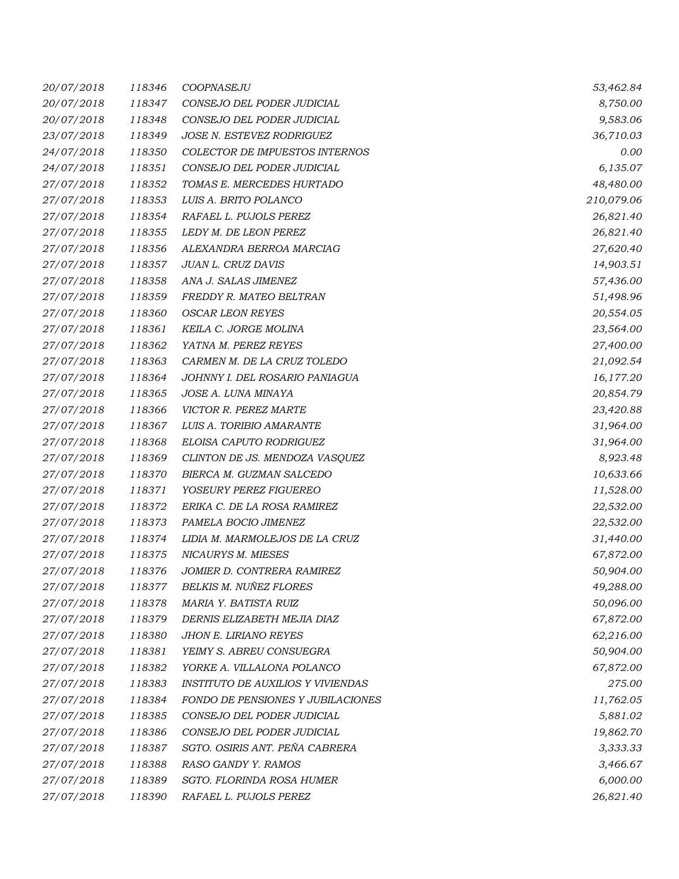| 20/07/2018 | 118346 | COOPNASEJU                               | 53,462.84  |
|------------|--------|------------------------------------------|------------|
| 20/07/2018 | 118347 | CONSEJO DEL PODER JUDICIAL               | 8,750.00   |
| 20/07/2018 | 118348 | CONSEJO DEL PODER JUDICIAL               | 9,583.06   |
| 23/07/2018 | 118349 | JOSE N. ESTEVEZ RODRIGUEZ                | 36,710.03  |
| 24/07/2018 | 118350 | COLECTOR DE IMPUESTOS INTERNOS           | 0.00       |
| 24/07/2018 | 118351 | CONSEJO DEL PODER JUDICIAL               | 6,135.07   |
| 27/07/2018 | 118352 | TOMAS E. MERCEDES HURTADO                | 48,480.00  |
| 27/07/2018 | 118353 | LUIS A. BRITO POLANCO                    | 210,079.06 |
| 27/07/2018 | 118354 | RAFAEL L. PUJOLS PEREZ                   | 26,821.40  |
| 27/07/2018 | 118355 | LEDY M. DE LEON PEREZ                    | 26,821.40  |
| 27/07/2018 | 118356 | ALEXANDRA BERROA MARCIAG                 | 27,620.40  |
| 27/07/2018 | 118357 | JUAN L. CRUZ DAVIS                       | 14,903.51  |
| 27/07/2018 | 118358 | ANA J. SALAS JIMENEZ                     | 57,436.00  |
| 27/07/2018 | 118359 | FREDDY R. MATEO BELTRAN                  | 51,498.96  |
| 27/07/2018 | 118360 | <b>OSCAR LEON REYES</b>                  | 20,554.05  |
| 27/07/2018 | 118361 | KEILA C. JORGE MOLINA                    | 23,564.00  |
| 27/07/2018 | 118362 | YATNA M. PEREZ REYES                     | 27,400.00  |
| 27/07/2018 | 118363 | CARMEN M. DE LA CRUZ TOLEDO              | 21,092.54  |
| 27/07/2018 | 118364 | JOHNNY I. DEL ROSARIO PANIAGUA           | 16,177.20  |
| 27/07/2018 | 118365 | JOSE A. LUNA MINAYA                      | 20,854.79  |
| 27/07/2018 | 118366 | VICTOR R. PEREZ MARTE                    | 23,420.88  |
| 27/07/2018 | 118367 | LUIS A. TORIBIO AMARANTE                 | 31,964.00  |
| 27/07/2018 | 118368 | ELOISA CAPUTO RODRIGUEZ                  | 31,964.00  |
| 27/07/2018 | 118369 | CLINTON DE JS. MENDOZA VASQUEZ           | 8,923.48   |
| 27/07/2018 | 118370 | BIERCA M. GUZMAN SALCEDO                 | 10,633.66  |
| 27/07/2018 | 118371 | YOSEURY PEREZ FIGUEREO                   | 11,528.00  |
| 27/07/2018 | 118372 | ERIKA C. DE LA ROSA RAMIREZ              | 22,532.00  |
| 27/07/2018 | 118373 | PAMELA BOCIO JIMENEZ                     | 22,532.00  |
| 27/07/2018 | 118374 | LIDIA M. MARMOLEJOS DE LA CRUZ           | 31,440.00  |
| 27/07/2018 | 118375 | NICAURYS M. MIESES                       | 67,872.00  |
| 27/07/2018 | 118376 | JOMIER D. CONTRERA RAMIREZ               | 50,904.00  |
| 27/07/2018 | 118377 | BELKIS M. NUÑEZ FLORES                   | 49,288.00  |
| 27/07/2018 | 118378 | MARIA Y. BATISTA RUIZ                    | 50,096.00  |
| 27/07/2018 | 118379 | DERNIS ELIZABETH MEJIA DIAZ              | 67,872.00  |
| 27/07/2018 | 118380 | JHON E. LIRIANO REYES                    | 62,216.00  |
| 27/07/2018 | 118381 | YEIMY S. ABREU CONSUEGRA                 | 50,904.00  |
| 27/07/2018 | 118382 | YORKE A. VILLALONA POLANCO               | 67,872.00  |
| 27/07/2018 | 118383 | <b>INSTITUTO DE AUXILIOS Y VIVIENDAS</b> | 275.00     |
| 27/07/2018 | 118384 | FONDO DE PENSIONES Y JUBILACIONES        | 11,762.05  |
| 27/07/2018 | 118385 | CONSEJO DEL PODER JUDICIAL               | 5,881.02   |
| 27/07/2018 | 118386 | CONSEJO DEL PODER JUDICIAL               | 19,862.70  |
| 27/07/2018 | 118387 | SGTO. OSIRIS ANT. PEÑA CABRERA           | 3,333.33   |
| 27/07/2018 | 118388 | RASO GANDY Y. RAMOS                      | 3,466.67   |
| 27/07/2018 | 118389 | SGTO. FLORINDA ROSA HUMER                | 6,000.00   |
| 27/07/2018 | 118390 | RAFAEL L. PUJOLS PEREZ                   | 26,821.40  |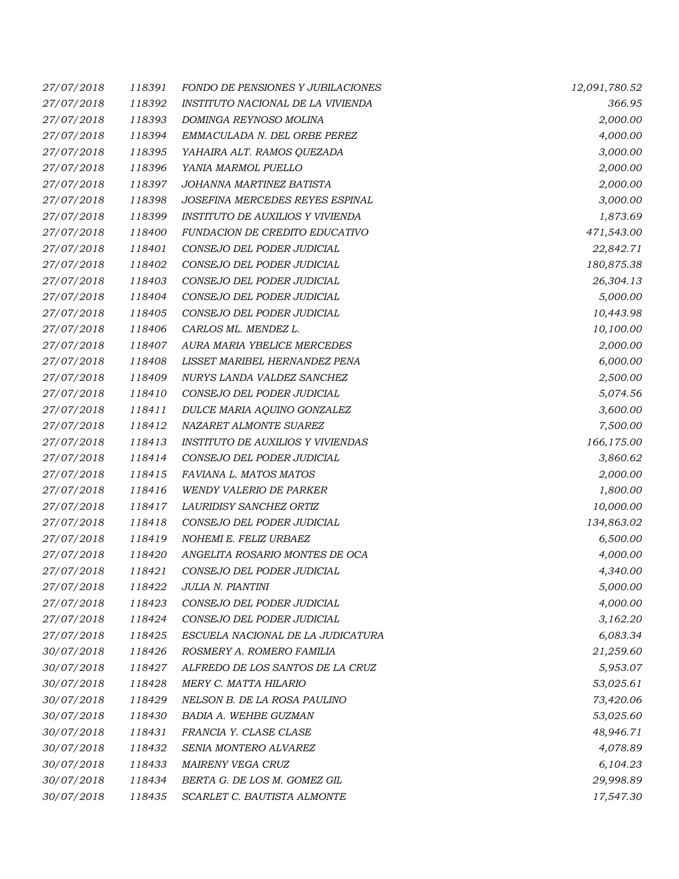| 27/07/2018 | 118391 | <b>FONDO DE PENSIONES Y JUBILACIONES</b> | 12,091,780.52 |
|------------|--------|------------------------------------------|---------------|
| 27/07/2018 | 118392 | INSTITUTO NACIONAL DE LA VIVIENDA        | 366.95        |
| 27/07/2018 | 118393 | DOMINGA REYNOSO MOLINA                   | 2,000.00      |
| 27/07/2018 | 118394 | EMMACULADA N. DEL ORBE PEREZ             | 4,000.00      |
| 27/07/2018 | 118395 | YAHAIRA ALT. RAMOS QUEZADA               | 3,000.00      |
| 27/07/2018 | 118396 | YANIA MARMOL PUELLO                      | 2,000.00      |
| 27/07/2018 | 118397 | JOHANNA MARTINEZ BATISTA                 | 2,000.00      |
| 27/07/2018 | 118398 | JOSEFINA MERCEDES REYES ESPINAL          | 3,000.00      |
| 27/07/2018 | 118399 | INSTITUTO DE AUXILIOS Y VIVIENDA         | 1,873.69      |
| 27/07/2018 | 118400 | FUNDACION DE CREDITO EDUCATIVO           | 471,543.00    |
| 27/07/2018 | 118401 | CONSEJO DEL PODER JUDICIAL               | 22,842.71     |
| 27/07/2018 | 118402 | CONSEJO DEL PODER JUDICIAL               | 180,875.38    |
| 27/07/2018 | 118403 | CONSEJO DEL PODER JUDICIAL               | 26,304.13     |
| 27/07/2018 | 118404 | CONSEJO DEL PODER JUDICIAL               | 5,000.00      |
| 27/07/2018 | 118405 | CONSEJO DEL PODER JUDICIAL               | 10,443.98     |
| 27/07/2018 | 118406 | CARLOS ML. MENDEZ L.                     | 10,100.00     |
| 27/07/2018 | 118407 | AURA MARIA YBELICE MERCEDES              | 2,000.00      |
| 27/07/2018 | 118408 | LISSET MARIBEL HERNANDEZ PENA            | 6,000.00      |
| 27/07/2018 | 118409 | NURYS LANDA VALDEZ SANCHEZ               | 2,500.00      |
| 27/07/2018 | 118410 | CONSEJO DEL PODER JUDICIAL               | 5,074.56      |
| 27/07/2018 | 118411 | DULCE MARIA AQUINO GONZALEZ              | 3,600.00      |
| 27/07/2018 | 118412 | NAZARET ALMONTE SUAREZ                   | 7,500.00      |
| 27/07/2018 | 118413 | <b>INSTITUTO DE AUXILIOS Y VIVIENDAS</b> | 166,175.00    |
| 27/07/2018 | 118414 | CONSEJO DEL PODER JUDICIAL               | 3,860.62      |
| 27/07/2018 | 118415 | FAVIANA L. MATOS MATOS                   | 2,000.00      |
| 27/07/2018 | 118416 | <b>WENDY VALERIO DE PARKER</b>           | 1,800.00      |
| 27/07/2018 | 118417 | LAURIDISY SANCHEZ ORTIZ                  | 10,000.00     |
| 27/07/2018 | 118418 | CONSEJO DEL PODER JUDICIAL               | 134,863.02    |
| 27/07/2018 | 118419 | NOHEMI E. FELIZ URBAEZ                   | 6,500.00      |
| 27/07/2018 | 118420 | ANGELITA ROSARIO MONTES DE OCA           | 4,000.00      |
| 27/07/2018 | 118421 | CONSEJO DEL PODER JUDICIAL               | 4,340.00      |
| 27/07/2018 | 118422 | JULIA N. PIANTINI                        | 5,000.00      |
| 27/07/2018 | 118423 | CONSEJO DEL PODER JUDICIAL               | 4,000.00      |
| 27/07/2018 | 118424 | CONSEJO DEL PODER JUDICIAL               | 3,162.20      |
| 27/07/2018 | 118425 | ESCUELA NACIONAL DE LA JUDICATURA        | 6,083.34      |
| 30/07/2018 | 118426 | ROSMERY A. ROMERO FAMILIA                | 21,259.60     |
| 30/07/2018 | 118427 | ALFREDO DE LOS SANTOS DE LA CRUZ         | 5,953.07      |
| 30/07/2018 | 118428 | MERY C. MATTA HILARIO                    | 53,025.61     |
| 30/07/2018 | 118429 | NELSON B. DE LA ROSA PAULINO             | 73,420.06     |
| 30/07/2018 | 118430 | BADIA A. WEHBE GUZMAN                    | 53,025.60     |
| 30/07/2018 | 118431 | FRANCIA Y. CLASE CLASE                   | 48,946.71     |
| 30/07/2018 | 118432 | SENIA MONTERO ALVAREZ                    | 4,078.89      |
| 30/07/2018 | 118433 | MAIRENY VEGA CRUZ                        | 6,104.23      |
| 30/07/2018 | 118434 | BERTA G. DE LOS M. GOMEZ GIL             | 29,998.89     |
| 30/07/2018 | 118435 | SCARLET C. BAUTISTA ALMONTE              | 17,547.30     |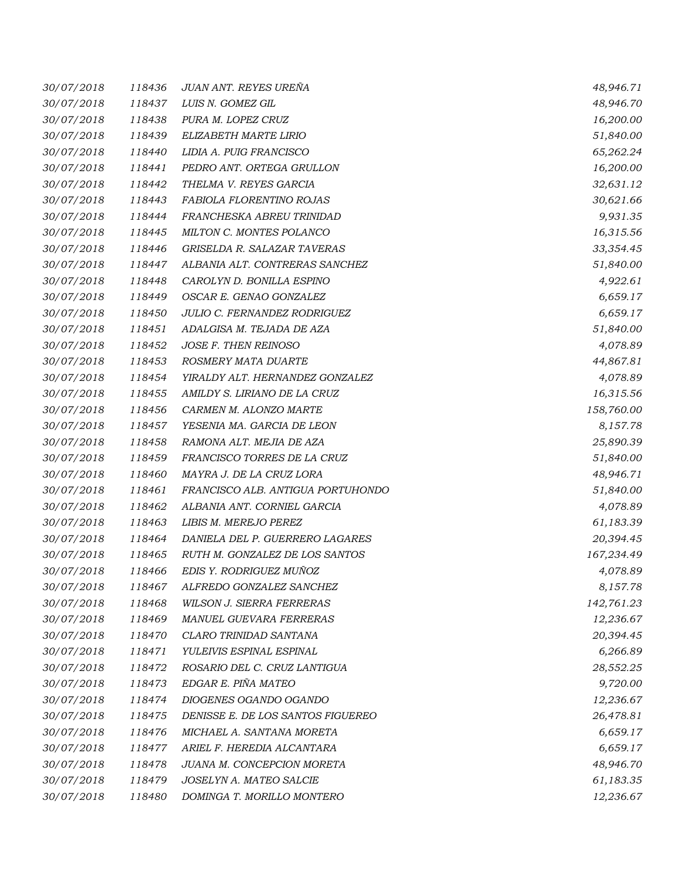| 30/07/2018 | 118436 | JUAN ANT. REYES UREÑA             | 48,946.71  |
|------------|--------|-----------------------------------|------------|
| 30/07/2018 | 118437 | LUIS N. GOMEZ GIL                 | 48,946.70  |
| 30/07/2018 | 118438 | PURA M. LOPEZ CRUZ                | 16,200.00  |
| 30/07/2018 | 118439 | ELIZABETH MARTE LIRIO             | 51,840.00  |
| 30/07/2018 | 118440 | LIDIA A. PUIG FRANCISCO           | 65,262.24  |
| 30/07/2018 | 118441 | PEDRO ANT. ORTEGA GRULLON         | 16,200.00  |
| 30/07/2018 | 118442 | THELMA V. REYES GARCIA            | 32,631.12  |
| 30/07/2018 | 118443 | FABIOLA FLORENTINO ROJAS          | 30,621.66  |
| 30/07/2018 | 118444 | FRANCHESKA ABREU TRINIDAD         | 9,931.35   |
| 30/07/2018 | 118445 | MILTON C. MONTES POLANCO          | 16,315.56  |
| 30/07/2018 | 118446 | GRISELDA R. SALAZAR TAVERAS       | 33,354.45  |
| 30/07/2018 | 118447 | ALBANIA ALT. CONTRERAS SANCHEZ    | 51,840.00  |
| 30/07/2018 | 118448 | CAROLYN D. BONILLA ESPINO         | 4,922.61   |
| 30/07/2018 | 118449 | OSCAR E. GENAO GONZALEZ           | 6,659.17   |
| 30/07/2018 | 118450 | JULIO C. FERNANDEZ RODRIGUEZ      | 6,659.17   |
| 30/07/2018 | 118451 | ADALGISA M. TEJADA DE AZA         | 51,840.00  |
| 30/07/2018 | 118452 | JOSE F. THEN REINOSO              | 4,078.89   |
| 30/07/2018 | 118453 | ROSMERY MATA DUARTE               | 44,867.81  |
| 30/07/2018 | 118454 | YIRALDY ALT. HERNANDEZ GONZALEZ   | 4,078.89   |
| 30/07/2018 | 118455 | AMILDY S. LIRIANO DE LA CRUZ      | 16,315.56  |
| 30/07/2018 | 118456 | CARMEN M. ALONZO MARTE            | 158,760.00 |
| 30/07/2018 | 118457 | YESENIA MA. GARCIA DE LEON        | 8,157.78   |
| 30/07/2018 | 118458 | RAMONA ALT. MEJIA DE AZA          | 25,890.39  |
| 30/07/2018 | 118459 | FRANCISCO TORRES DE LA CRUZ       | 51,840.00  |
| 30/07/2018 | 118460 | MAYRA J. DE LA CRUZ LORA          | 48,946.71  |
| 30/07/2018 | 118461 | FRANCISCO ALB. ANTIGUA PORTUHONDO | 51,840.00  |
| 30/07/2018 | 118462 | ALBANIA ANT. CORNIEL GARCIA       | 4,078.89   |
| 30/07/2018 | 118463 | LIBIS M. MEREJO PEREZ             | 61,183.39  |
| 30/07/2018 | 118464 | DANIELA DEL P. GUERRERO LAGARES   | 20,394.45  |
| 30/07/2018 | 118465 | RUTH M. GONZALEZ DE LOS SANTOS    | 167,234.49 |
| 30/07/2018 | 118466 | EDIS Y. RODRIGUEZ MUÑOZ           | 4,078.89   |
| 30/07/2018 | 118467 | ALFREDO GONZALEZ SANCHEZ          | 8,157.78   |
| 30/07/2018 | 118468 | WILSON J. SIERRA FERRERAS         | 142,761.23 |
| 30/07/2018 | 118469 | MANUEL GUEVARA FERRERAS           | 12,236.67  |
| 30/07/2018 | 118470 | CLARO TRINIDAD SANTANA            | 20,394.45  |
| 30/07/2018 | 118471 | YULEIVIS ESPINAL ESPINAL          | 6,266.89   |
| 30/07/2018 | 118472 | ROSARIO DEL C. CRUZ LANTIGUA      | 28,552.25  |
| 30/07/2018 | 118473 | EDGAR E. PIÑA MATEO               | 9,720.00   |
| 30/07/2018 | 118474 | DIOGENES OGANDO OGANDO            | 12,236.67  |
| 30/07/2018 | 118475 | DENISSE E. DE LOS SANTOS FIGUEREO | 26,478.81  |
| 30/07/2018 | 118476 | MICHAEL A. SANTANA MORETA         | 6,659.17   |
| 30/07/2018 | 118477 | ARIEL F. HEREDIA ALCANTARA        | 6,659.17   |
| 30/07/2018 | 118478 | JUANA M. CONCEPCION MORETA        | 48,946.70  |
| 30/07/2018 | 118479 | JOSELYN A. MATEO SALCIE           | 61,183.35  |
| 30/07/2018 | 118480 | DOMINGA T. MORILLO MONTERO        | 12,236.67  |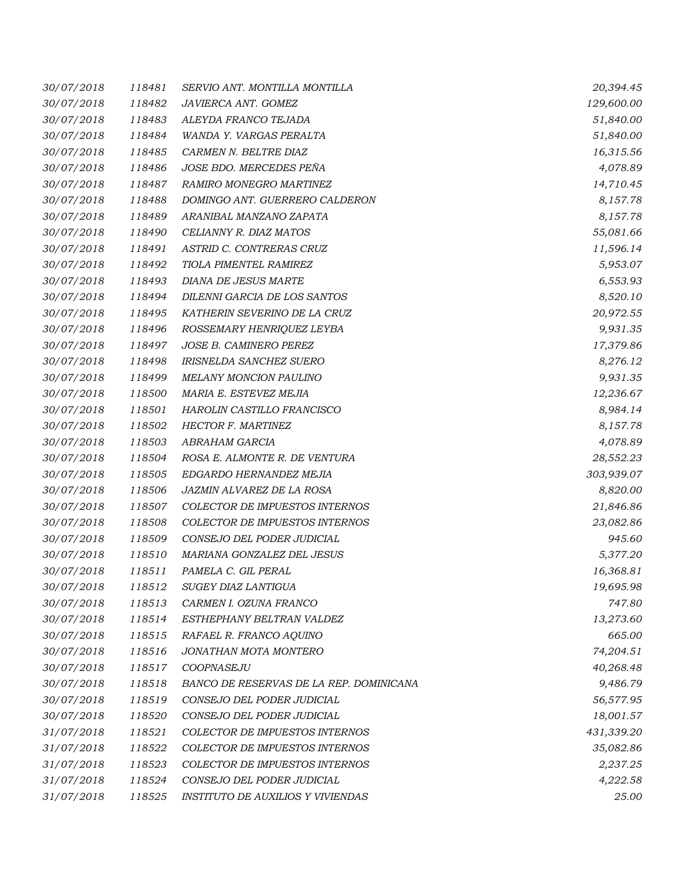| 30/07/2018 | 118481 | SERVIO ANT. MONTILLA MONTILLA           | 20,394.45  |
|------------|--------|-----------------------------------------|------------|
| 30/07/2018 | 118482 | JAVIERCA ANT. GOMEZ                     | 129,600.00 |
| 30/07/2018 | 118483 | ALEYDA FRANCO TEJADA                    | 51,840.00  |
| 30/07/2018 | 118484 | WANDA Y. VARGAS PERALTA                 | 51,840.00  |
| 30/07/2018 | 118485 | CARMEN N. BELTRE DIAZ                   | 16,315.56  |
| 30/07/2018 | 118486 | JOSE BDO. MERCEDES PEÑA                 | 4,078.89   |
| 30/07/2018 | 118487 | RAMIRO MONEGRO MARTINEZ                 | 14,710.45  |
| 30/07/2018 | 118488 | DOMINGO ANT. GUERRERO CALDERON          | 8,157.78   |
| 30/07/2018 | 118489 | ARANIBAL MANZANO ZAPATA                 | 8,157.78   |
| 30/07/2018 | 118490 | CELIANNY R. DIAZ MATOS                  | 55,081.66  |
| 30/07/2018 | 118491 | ASTRID C. CONTRERAS CRUZ                | 11,596.14  |
| 30/07/2018 | 118492 | TIOLA PIMENTEL RAMIREZ                  | 5,953.07   |
| 30/07/2018 | 118493 | DIANA DE JESUS MARTE                    | 6,553.93   |
| 30/07/2018 | 118494 | DILENNI GARCIA DE LOS SANTOS            | 8,520.10   |
| 30/07/2018 | 118495 | KATHERIN SEVERINO DE LA CRUZ            | 20,972.55  |
| 30/07/2018 | 118496 | ROSSEMARY HENRIQUEZ LEYBA               | 9,931.35   |
| 30/07/2018 | 118497 | JOSE B. CAMINERO PEREZ                  | 17,379.86  |
| 30/07/2018 | 118498 | IRISNELDA SANCHEZ SUERO                 | 8,276.12   |
| 30/07/2018 | 118499 | <b>MELANY MONCION PAULINO</b>           | 9,931.35   |
| 30/07/2018 | 118500 | MARIA E. ESTEVEZ MEJIA                  | 12,236.67  |
| 30/07/2018 | 118501 | HAROLIN CASTILLO FRANCISCO              | 8,984.14   |
| 30/07/2018 | 118502 | HECTOR F. MARTINEZ                      | 8,157.78   |
| 30/07/2018 | 118503 | ABRAHAM GARCIA                          | 4,078.89   |
| 30/07/2018 | 118504 | ROSA E. ALMONTE R. DE VENTURA           | 28,552.23  |
| 30/07/2018 | 118505 | EDGARDO HERNANDEZ MEJIA                 | 303,939.07 |
| 30/07/2018 | 118506 | JAZMIN ALVAREZ DE LA ROSA               | 8,820.00   |
| 30/07/2018 | 118507 | COLECTOR DE IMPUESTOS INTERNOS          | 21,846.86  |
| 30/07/2018 | 118508 | COLECTOR DE IMPUESTOS INTERNOS          | 23,082.86  |
| 30/07/2018 | 118509 | CONSEJO DEL PODER JUDICIAL              | 945.60     |
| 30/07/2018 | 118510 | MARIANA GONZALEZ DEL JESUS              | 5,377.20   |
| 30/07/2018 | 118511 | PAMELA C. GIL PERAL                     | 16,368.81  |
| 30/07/2018 | 118512 | SUGEY DIAZ LANTIGUA                     | 19,695.98  |
| 30/07/2018 | 118513 | CARMEN I. OZUNA FRANCO                  | 747.80     |
| 30/07/2018 | 118514 | ESTHEPHANY BELTRAN VALDEZ               | 13,273.60  |
| 30/07/2018 | 118515 | RAFAEL R. FRANCO AQUINO                 | 665.00     |
| 30/07/2018 | 118516 | JONATHAN MOTA MONTERO                   | 74,204.51  |
| 30/07/2018 | 118517 | COOPNASEJU                              | 40,268.48  |
| 30/07/2018 | 118518 | BANCO DE RESERVAS DE LA REP. DOMINICANA | 9,486.79   |
| 30/07/2018 | 118519 | CONSEJO DEL PODER JUDICIAL              | 56,577.95  |
| 30/07/2018 | 118520 | CONSEJO DEL PODER JUDICIAL              | 18,001.57  |
| 31/07/2018 | 118521 | COLECTOR DE IMPUESTOS INTERNOS          | 431,339.20 |
| 31/07/2018 | 118522 | COLECTOR DE IMPUESTOS INTERNOS          | 35,082.86  |
| 31/07/2018 | 118523 | COLECTOR DE IMPUESTOS INTERNOS          | 2,237.25   |
| 31/07/2018 | 118524 | CONSEJO DEL PODER JUDICIAL              | 4,222.58   |
| 31/07/2018 | 118525 | INSTITUTO DE AUXILIOS Y VIVIENDAS       | 25.00      |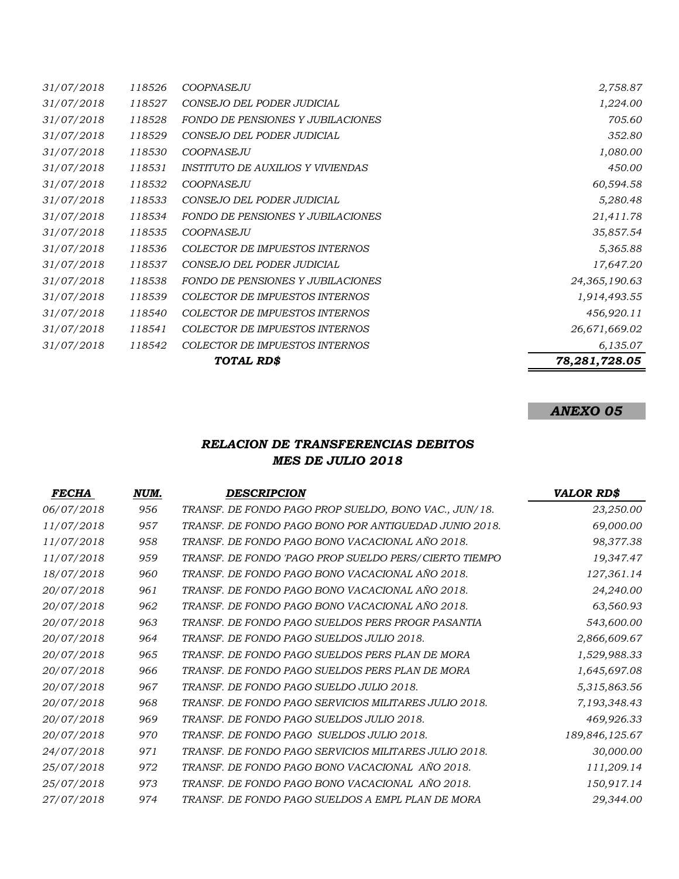| 31/07/2018 | 118526 | <b>COOPNASEJU</b>                        | 2,758.87      |
|------------|--------|------------------------------------------|---------------|
| 31/07/2018 | 118527 | CONSEJO DEL PODER JUDICIAL               | 1,224.00      |
| 31/07/2018 | 118528 | FONDO DE PENSIONES Y JUBILACIONES        | 705.60        |
| 31/07/2018 | 118529 | CONSEJO DEL PODER JUDICIAL               | 352.80        |
| 31/07/2018 | 118530 | <b>COOPNASEJU</b>                        | 1,080.00      |
| 31/07/2018 | 118531 | INSTITUTO DE AUXILIOS Y VIVIENDAS        | 450.00        |
| 31/07/2018 | 118532 | <b>COOPNASEJU</b>                        | 60,594.58     |
| 31/07/2018 | 118533 | CONSEJO DEL PODER JUDICIAL               | 5,280.48      |
| 31/07/2018 | 118534 | <b>FONDO DE PENSIONES Y JUBILACIONES</b> | 21,411.78     |
| 31/07/2018 | 118535 | COOPNASEJU                               | 35,857.54     |
| 31/07/2018 | 118536 | COLECTOR DE IMPUESTOS INTERNOS           | 5,365.88      |
| 31/07/2018 | 118537 | CONSEJO DEL PODER JUDICIAL               | 17,647.20     |
| 31/07/2018 | 118538 | <b>FONDO DE PENSIONES Y JUBILACIONES</b> | 24,365,190.63 |
| 31/07/2018 | 118539 | COLECTOR DE IMPUESTOS INTERNOS           | 1,914,493.55  |
| 31/07/2018 | 118540 | <b>COLECTOR DE IMPUESTOS INTERNOS</b>    | 456,920.11    |
| 31/07/2018 | 118541 | <b>COLECTOR DE IMPUESTOS INTERNOS</b>    | 26,671,669.02 |
| 31/07/2018 | 118542 | COLECTOR DE IMPUESTOS INTERNOS           | 6,135.07      |
|            |        | TOTAL RD\$                               | 78,281,728.05 |

# *ANEXO 05*

## *RELACION DE TRANSFERENCIAS DEBITOS MES DE JULIO 2018*

| <i>FECHA</i>      | NUM. | <b>DESCRIPCION</b>                                    | <b>VALOR RD\$</b> |
|-------------------|------|-------------------------------------------------------|-------------------|
| 06/07/2018        | 956  | TRANSF. DE FONDO PAGO PROP SUELDO, BONO VAC., JUN/18. | 23,250.00         |
| 11/07/2018        | 957  | TRANSF. DE FONDO PAGO BONO POR ANTIGUEDAD JUNIO 2018. | 69,000.00         |
| 11/07/2018        | 958  | TRANSF. DE FONDO PAGO BONO VACACIONAL AÑO 2018.       | 98,377.38         |
| 11/07/2018        | 959  | TRANSF. DE FONDO 'PAGO PROP SUELDO PERS/CIERTO TIEMPO | 19,347.47         |
| 18/07/2018        | 960  | TRANSF. DE FONDO PAGO BONO VACACIONAL AÑO 2018.       | 127,361.14        |
| 20/07/2018        | 961  | TRANSF. DE FONDO PAGO BONO VACACIONAL AÑO 2018.       | 24,240.00         |
| 20/07/2018        | 962  | TRANSF. DE FONDO PAGO BONO VACACIONAL AÑO 2018.       | 63,560.93         |
| 20/07/2018        | 963  | TRANSF. DE FONDO PAGO SUELDOS PERS PROGR PASANTIA     | 543,600.00        |
| 20/07/2018        | 964  | TRANSF. DE FONDO PAGO SUELDOS JULIO 2018.             | 2,866,609.67      |
| 20/07/2018        | 965  | TRANSF. DE FONDO PAGO SUELDOS PERS PLAN DE MORA       | 1,529,988.33      |
| <i>20/07/2018</i> | 966  | TRANSF. DE FONDO PAGO SUELDOS PERS PLAN DE MORA       | 1,645,697.08      |
| 20/07/2018        | 967  | TRANSF. DE FONDO PAGO SUELDO JULIO 2018.              | 5,315,863.56      |
| 20/07/2018        | 968  | TRANSF. DE FONDO PAGO SERVICIOS MILITARES JULIO 2018. | 7,193,348.43      |
| 20/07/2018        | 969  | TRANSF. DE FONDO PAGO SUELDOS JULIO 2018.             | 469,926.33        |
| 20/07/2018        | 970  | TRANSF. DE FONDO PAGO SUELDOS JULIO 2018.             | 189,846,125.67    |
| 24/07/2018        | 971  | TRANSF. DE FONDO PAGO SERVICIOS MILITARES JULIO 2018. | 30,000.00         |
| 25/07/2018        | 972  | TRANSF. DE FONDO PAGO BONO VACACIONAL AÑO 2018.       | 111,209.14        |
| 25/07/2018        | 973  | TRANSF. DE FONDO PAGO BONO VACACIONAL AÑO 2018.       | 150,917.14        |
| 27/07/2018        | 974  | TRANSF. DE FONDO PAGO SUELDOS A EMPL PLAN DE MORA     | 29,344.00         |